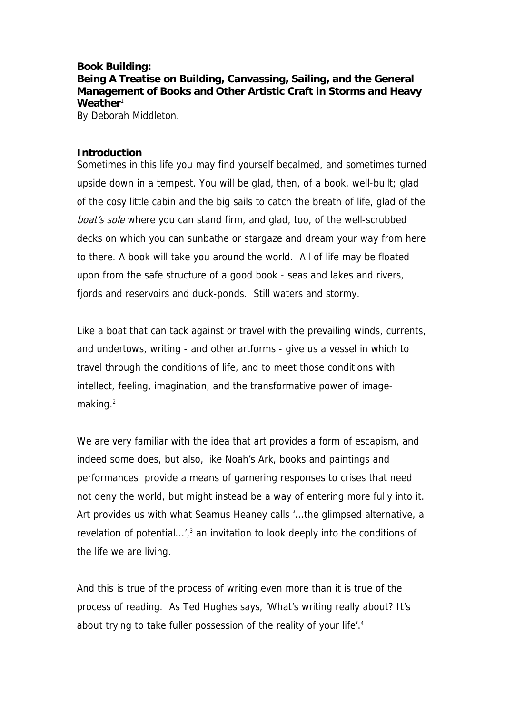## **Book Building:**

**Being A Treatise on Building, Canvassing, Sailing, and the General Management of Books and Other Artistic Craft in Storms and Heavy Weather**<sup>1</sup>

By Deborah Middleton.

## **Introduction**

Sometimes in this life you may find yourself becalmed, and sometimes turned upside down in a tempest. You will be glad, then, of a book, well-built; glad of the cosy little cabin and the big sails to catch the breath of life, glad of the boat's sole where you can stand firm, and glad, too, of the well-scrubbed decks on which you can sunbathe or stargaze and dream your way from here to there. A book will take you around the world. All of life may be floated upon from the safe structure of a good book - seas and lakes and rivers, fjords and reservoirs and duck-ponds. Still waters and stormy.

Like a boat that can tack against or travel with the prevailing winds, currents, and undertows, writing - and other artforms - give us a vessel in which to travel through the conditions of life, and to meet those conditions with intellect, feeling, imagination, and the transformative power of imagemaking $2<sup>2</sup>$ 

We are very familiar with the idea that art provides a form of escapism, and indeed some does, but also, like Noah's Ark, books and paintings and performances provide a means of garnering responses to crises that need not deny the world, but might instead be a way of entering more fully into it. Art provides us with what Seamus Heaney calls '...the glimpsed alternative, a revelation of potential...', $3$  an invitation to look deeply into the conditions of the life we are living.

And this is true of the process of writing even more than it is true of the process of reading. As Ted Hughes says, 'What's writing really about? It's about trying to take fuller possession of the reality of your life'.<sup>4</sup>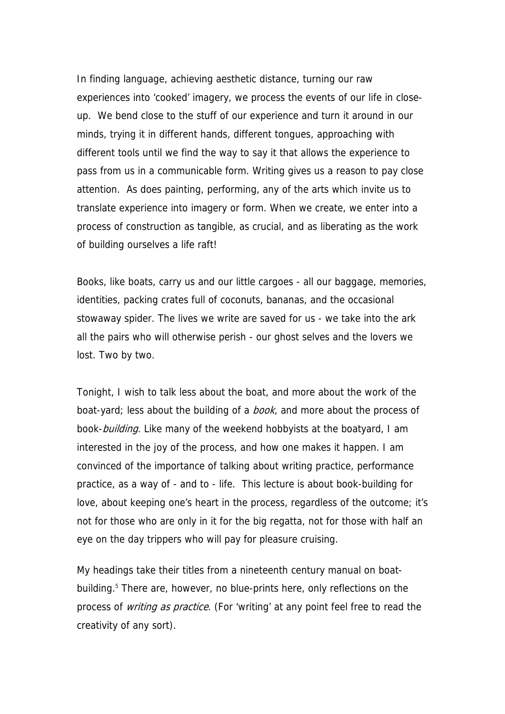In finding language, achieving aesthetic distance, turning our raw experiences into 'cooked' imagery, we process the events of our life in closeup. We bend close to the stuff of our experience and turn it around in our minds, trying it in different hands, different tongues, approaching with different tools until we find the way to say it that allows the experience to pass from us in a communicable form. Writing gives us a reason to pay close attention. As does painting, performing, any of the arts which invite us to translate experience into imagery or form. When we create, we enter into a process of construction as tangible, as crucial, and as liberating as the work of building ourselves a life raft!

Books, like boats, carry us and our little cargoes - all our baggage, memories, identities, packing crates full of coconuts, bananas, and the occasional stowaway spider. The lives we write are saved for us - we take into the ark all the pairs who will otherwise perish - our ghost selves and the lovers we lost. Two by two.

Tonight, I wish to talk less about the boat, and more about the work of the boat-yard; less about the building of a *book*, and more about the process of book-building. Like many of the weekend hobbyists at the boatyard, I am interested in the joy of the process, and how one makes it happen. I am convinced of the importance of talking about writing practice, performance practice, as a way of - and to - life. This lecture is about book-building for love, about keeping one's heart in the process, regardless of the outcome; it's not for those who are only in it for the big regatta, not for those with half an eye on the day trippers who will pay for pleasure cruising.

My headings take their titles from a nineteenth century manual on boatbuilding.<sup>5</sup> There are, however, no blue-prints here, only reflections on the process of *writing as practice*. (For 'writing' at any point feel free to read the creativity of any sort).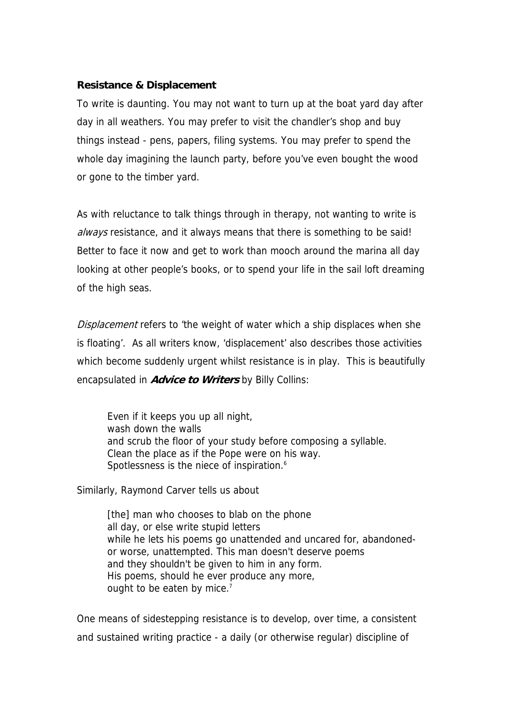# **Resistance & Displacement**

To write is daunting. You may not want to turn up at the boat yard day after day in all weathers. You may prefer to visit the chandler's shop and buy things instead - pens, papers, filing systems. You may prefer to spend the whole day imagining the launch party, before you've even bought the wood or gone to the timber yard.

As with reluctance to talk things through in therapy, not wanting to write is always resistance, and it always means that there is something to be said! Better to face it now and get to work than mooch around the marina all day looking at other people's books, or to spend your life in the sail loft dreaming of the high seas.

Displacement refers to 'the weight of water which a ship displaces when she is floating'. As all writers know, 'displacement' also describes those activities which become suddenly urgent whilst resistance is in play. This is beautifully encapsulated in **Advice to Writers** by Billy Collins:

Even if it keeps you up all night, wash down the walls and scrub the floor of your study before composing a syllable. Clean the place as if the Pope were on his way. Spotlessness is the niece of inspiration.<sup>6</sup>

Similarly, Raymond Carver tells us about

[the] man who chooses to blab on the phone all day, or else write stupid letters while he lets his poems go unattended and uncared for, abandonedor worse, unattempted. This man doesn't deserve poems and they shouldn't be given to him in any form. His poems, should he ever produce any more, ought to be eaten by mice.<sup>7</sup>

One means of sidestepping resistance is to develop, over time, a consistent and sustained writing practice - a daily (or otherwise regular) discipline of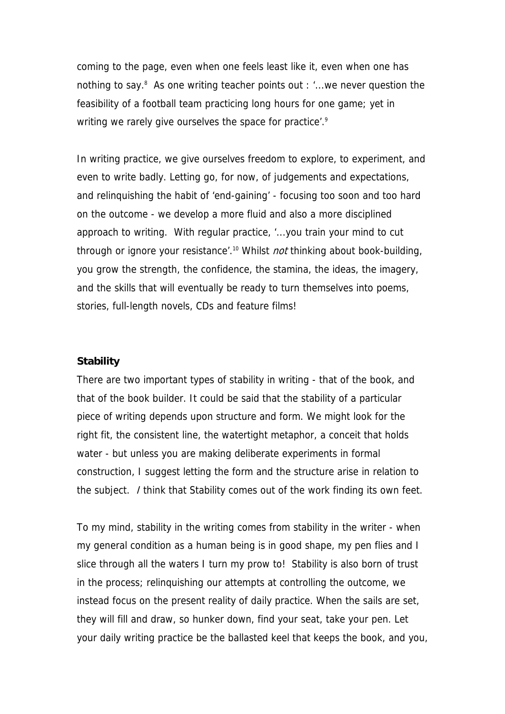coming to the page, even when one feels least like it, even when one has nothing to say.<sup>8</sup> As one writing teacher points out : '...we never question the feasibility of a football team practicing long hours for one game; yet in writing we rarely give ourselves the space for practice'.<sup>9</sup>

In writing practice, we give ourselves freedom to explore, to experiment, and even to write badly. Letting go, for now, of judgements and expectations, and relinquishing the habit of 'end-gaining' - focusing too soon and too hard on the outcome - we develop a more fluid and also a more disciplined approach to writing. With regular practice, '...you train your mind to cut through or ignore your resistance'.<sup>10</sup> Whilst *not* thinking about book-building, you grow the strength, the confidence, the stamina, the ideas, the imagery, and the skills that will eventually be ready to turn themselves into poems, stories, full-length novels, CDs and feature films!

## **Stability**

There are two important types of stability in writing - that of the book, and that of the book builder. It could be said that the stability of a particular piece of writing depends upon structure and form. We might look for the right fit, the consistent line, the watertight metaphor, a conceit that holds water - but unless you are making deliberate experiments in formal construction, I suggest letting the form and the structure arise in relation to the subject. I think that Stability comes out of the work finding its own feet.

To my mind, stability in the writing comes from stability in the writer - when my general condition as a human being is in good shape, my pen flies and I slice through all the waters I turn my prow to! Stability is also born of trust in the process; relinquishing our attempts at controlling the outcome, we instead focus on the present reality of daily practice. When the sails are set, they will fill and draw, so hunker down, find your seat, take your pen. Let your daily writing practice be the ballasted keel that keeps the book, and you,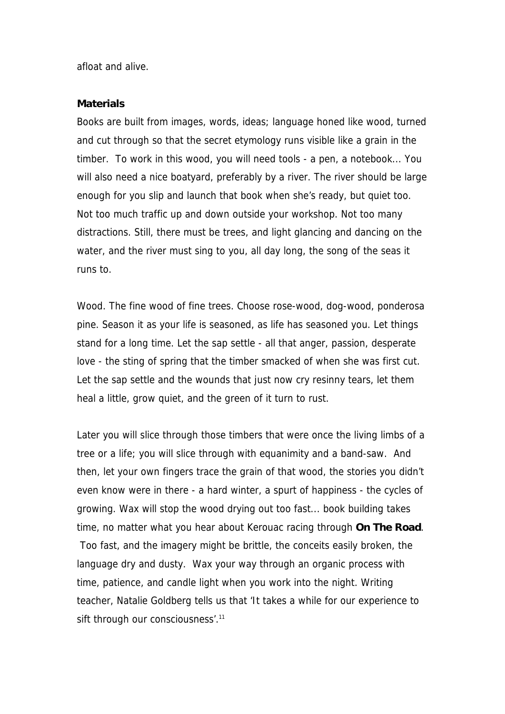afloat and alive.

#### **Materials**

Books are built from images, words, ideas; language honed like wood, turned and cut through so that the secret etymology runs visible like a grain in the timber. To work in this wood, you will need tools - a pen, a notebook... You will also need a nice boatyard, preferably by a river. The river should be large enough for you slip and launch that book when she's ready, but quiet too. Not too much traffic up and down outside your workshop. Not too many distractions. Still, there must be trees, and light glancing and dancing on the water, and the river must sing to you, all day long, the song of the seas it runs to.

Wood. The fine wood of fine trees. Choose rose-wood, dog-wood, ponderosa pine. Season it as your life is seasoned, as life has seasoned you. Let things stand for a long time. Let the sap settle - all that anger, passion, desperate love - the sting of spring that the timber smacked of when she was first cut. Let the sap settle and the wounds that just now cry resinny tears, let them heal a little, grow quiet, and the green of it turn to rust.

Later you will slice through those timbers that were once the living limbs of a tree or a life; you will slice through with equanimity and a band-saw. And then, let your own fingers trace the grain of that wood, the stories you didn't even know were in there - a hard winter, a spurt of happiness - the cycles of growing. Wax will stop the wood drying out too fast... book building takes time, no matter what you hear about Kerouac racing through **On The Road**. Too fast, and the imagery might be brittle, the conceits easily broken, the language dry and dusty. Wax your way through an organic process with time, patience, and candle light when you work into the night. Writing teacher, Natalie Goldberg tells us that 'It takes a while for our experience to sift through our consciousness'.<sup>11</sup>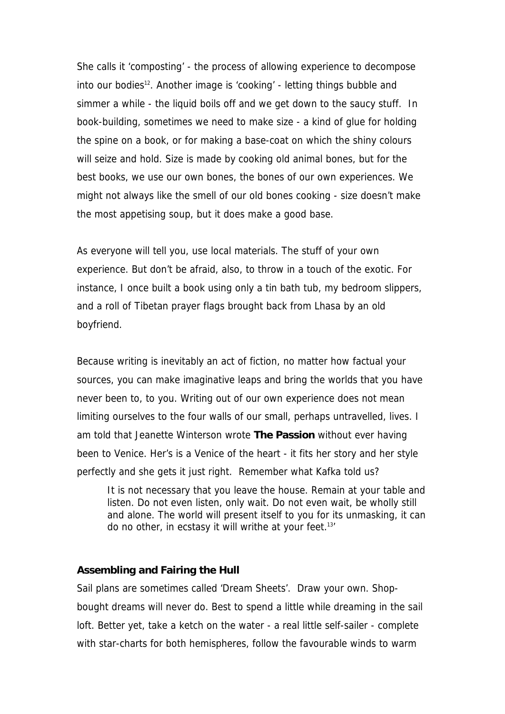She calls it 'composting' - the process of allowing experience to decompose into our bodies<sup>12</sup>. Another image is 'cooking' - letting things bubble and simmer a while - the liquid boils off and we get down to the saucy stuff. In book-building, sometimes we need to make size - a kind of glue for holding the spine on a book, or for making a base-coat on which the shiny colours will seize and hold. Size is made by cooking old animal bones, but for the best books, we use our own bones, the bones of our own experiences. We might not always like the smell of our old bones cooking - size doesn't make the most appetising soup, but it does make a good base.

As everyone will tell you, use local materials. The stuff of your own experience. But don't be afraid, also, to throw in a touch of the exotic. For instance, I once built a book using only a tin bath tub, my bedroom slippers, and a roll of Tibetan prayer flags brought back from Lhasa by an old boyfriend.

Because writing is inevitably an act of fiction, no matter how factual your sources, you can make imaginative leaps and bring the worlds that you have never been to, to you. Writing out of our own experience does not mean limiting ourselves to the four walls of our small, perhaps untravelled, lives. I am told that Jeanette Winterson wrote **The Passion** without ever having been to Venice. Her's is a Venice of the heart - it fits her story and her style perfectly and she gets it just right. Remember what Kafka told us?

It is not necessary that you leave the house. Remain at your table and listen. Do not even listen, only wait. Do not even wait, be wholly still and alone. The world will present itself to you for its unmasking, it can do no other, in ecstasy it will writhe at your feet.<sup>13'</sup>

#### **Assembling and Fairing the Hull**

Sail plans are sometimes called 'Dream Sheets'. Draw your own. Shopbought dreams will never do. Best to spend a little while dreaming in the sail loft. Better yet, take a ketch on the water - a real little self-sailer - complete with star-charts for both hemispheres, follow the favourable winds to warm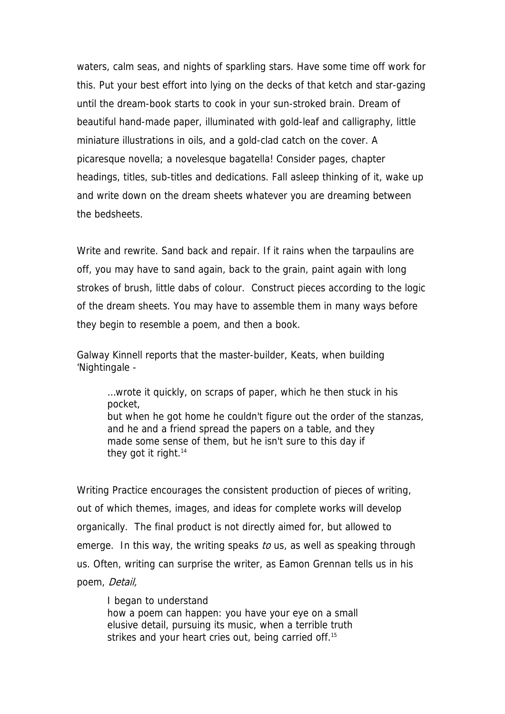waters, calm seas, and nights of sparkling stars. Have some time off work for this. Put your best effort into lying on the decks of that ketch and star-gazing until the dream-book starts to cook in your sun-stroked brain. Dream of beautiful hand-made paper, illuminated with gold-leaf and calligraphy, little miniature illustrations in oils, and a gold-clad catch on the cover. A picaresque novella; a novelesque bagatella! Consider pages, chapter headings, titles, sub-titles and dedications. Fall asleep thinking of it, wake up and write down on the dream sheets whatever you are dreaming between the bedsheets.

Write and rewrite. Sand back and repair. If it rains when the tarpaulins are off, you may have to sand again, back to the grain, paint again with long strokes of brush, little dabs of colour. Construct pieces according to the logic of the dream sheets. You may have to assemble them in many ways before they begin to resemble a poem, and then a book.

Galway Kinnell reports that the master-builder, Keats, when building 'Nightingale -

…wrote it quickly, on scraps of paper, which he then stuck in his pocket, but when he got home he couldn't figure out the order of the stanzas, and he and a friend spread the papers on a table, and they made some sense of them, but he isn't sure to this day if they got it right.<sup>14</sup>

Writing Practice encourages the consistent production of pieces of writing, out of which themes, images, and ideas for complete works will develop organically. The final product is not directly aimed for, but allowed to emerge. In this way, the writing speaks to us, as well as speaking through us. Often, writing can surprise the writer, as Eamon Grennan tells us in his poem, Detail,

I began to understand how a poem can happen: you have your eye on a small elusive detail, pursuing its music, when a terrible truth strikes and your heart cries out, being carried off.<sup>15</sup>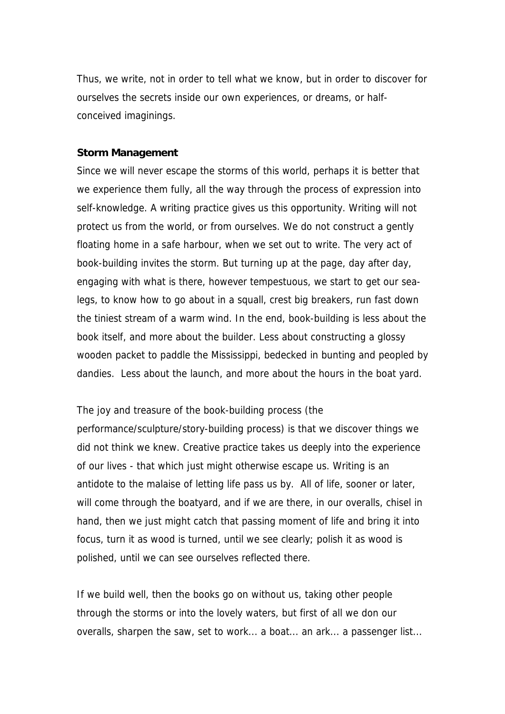Thus, we write, not in order to tell what we know, but in order to discover for ourselves the secrets inside our own experiences, or dreams, or halfconceived imaginings.

#### **Storm Management**

Since we will never escape the storms of this world, perhaps it is better that we experience them fully, all the way through the process of expression into self-knowledge. A writing practice gives us this opportunity. Writing will not protect us from the world, or from ourselves. We do not construct a gently floating home in a safe harbour, when we set out to write. The very act of book-building invites the storm. But turning up at the page, day after day, engaging with what is there, however tempestuous, we start to get our sealegs, to know how to go about in a squall, crest big breakers, run fast down the tiniest stream of a warm wind. In the end, book-building is less about the book itself, and more about the builder. Less about constructing a glossy wooden packet to paddle the Mississippi, bedecked in bunting and peopled by dandies. Less about the launch, and more about the hours in the boat yard.

The joy and treasure of the book-building process (the

performance/sculpture/story-building process) is that we discover things we did not think we knew. Creative practice takes us deeply into the experience of our lives - that which just might otherwise escape us. Writing is an antidote to the malaise of letting life pass us by. All of life, sooner or later, will come through the boatyard, and if we are there, in our overalls, chisel in hand, then we just might catch that passing moment of life and bring it into focus, turn it as wood is turned, until we see clearly; polish it as wood is polished, until we can see ourselves reflected there.

If we build well, then the books go on without us, taking other people through the storms or into the lovely waters, but first of all we don our overalls, sharpen the saw, set to work... a boat... an ark... a passenger list...